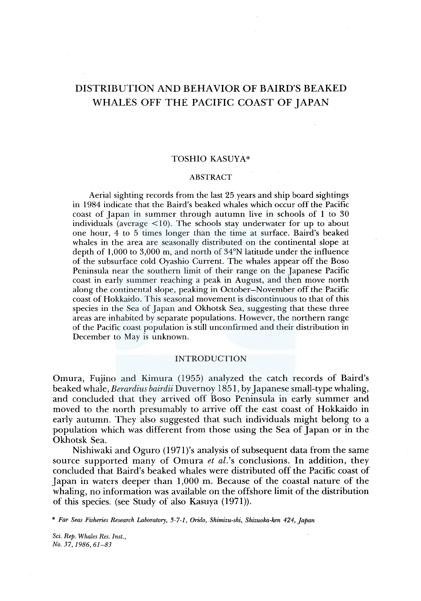# DISTRIBUTION AND BEHAVIOR OF BAIRD'S BEAKED WHALES OFF THE PACIFIC COAST OF JAPAN

### TOSHIO KASUYA\*

#### ABSTRACT

Aerial sighting records from the last 25 years and ship board sightings in 1984 indicate that the Baird's beaked whales which occur off the Pacific coast of Japan in summer through autumn live in schools of 1 to 30 individuals (average  $\leq 10$ ). The schools stay underwater for up to about one hour, 4 to 5 times longer than the time at surface. Baird's beaked whales in the area are seasonally distributed on the continental slope at depth of 1,000 to 3,000 m, and north of 34°N latitude under the influence of the subsurface cold Oyashio Current. The whales appear off the Boso Peninsula near the southern limit of their range on the Japanese Pacific coast in early summer reaching a peak in August, and then move north along the continental slope, peaking in October-November off the Pacific coast of Hokkaido. This seasonal movement is discontinuous to that of this species in the Sea of Japan and Okhotsk Sea, suggesting that these three areas are inhabited by separate populations. However, the northern range of the Pacific coast population is still unconfirmed and their distribution in December to May is unknown.

#### INTRODUCTION

Omura, Fujino and Kimura (1955) analyzed the catch records of Baird's beaked whale, *Berardius bairdii* Duvernoy 1851, by Japanese small-type whaling, and concluded that they arrived off Boso Peninsula in early summer and moved to the north presumably to arrive off the east coast of Hokkaido in early autumn. They also suggested that such individuals might belong to a population which was different from those using the Sea of Japan or in the Okhotsk Sea.

Nishiwaki and Oguro ( 1971 )'s analysis of subsequent data from the same source supported many of Omura *et al.'s* conclusions. In addition, they concluded that Baird's beaked whales were distributed off the Pacific coast of Japan in waters deeper than 1,000 m. Because of the coastal nature of the whaling, no information was available on the offshore limit of the distribution of this species. (see Study of also Kasuya (1971)).

\* *Far Seas Fisheries Research Laboratory, 5-7-1, Orido, Shimizu-ski, Shizuoka-ken 424, Japan* 

*Sci. Rep. Whales Res. Inst., No. 37, 1986, 61-83*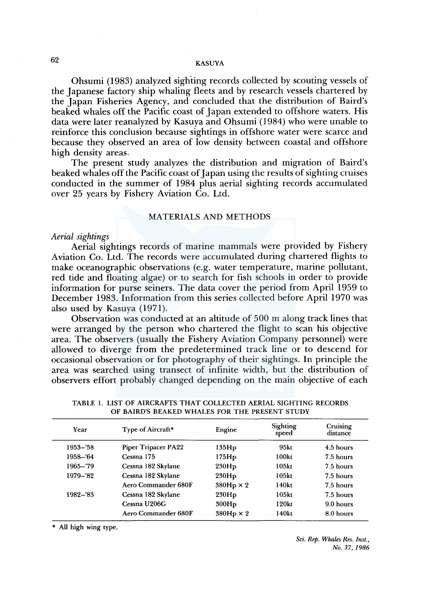Ohsumi ( 1983) analyzed sighting records collected by scouting vessels of the Japanese factory ship whaling fleets and by research vessels chartered by the Japan Fisheries Agency, and concluded that the distribution of Baird's beaked whales off the Pacific coast of Japan extended to offshore waters. His data were later reanalyzed by Kasuya and Ohsumi (1984) who were unable to reinforce this conclusion because sightings in offshore water were scarce and because they observed an area of low density between coastal and offshore high density areas.

The present study analyzes the distribution and migration of Baird's beaked whales off the Pacific coast of Japan using the results of sighting cruises conducted in the summer of 1984 plus aerial sighting records accumulated over 25 years by Fishery Aviation Co. Ltd.

#### MATERIALS AND METHODS

#### *Aerial sightings*

Aerial sightings records of marine mammals were provided by Fishery Aviation Co. Ltd. The records were accumulated during chartered flights to make oceanographic observations (e.g. water temperature, marine pollutant, red tide and floating algae) or to search for fish schools in order to provide information for purse seiners. The data cover the period from April 1959 to December 1983. Information from this series collected before April 1970 was also used by Kasuya (1971).

Observation was conducted at an altitude of 500 m along track lines that were arranged by the person who chartered the flight to scan his objective area. The observers (usually the Fishery Aviation Company personnel) were allowed to diverge from the predetermined track line or to descend for occasional observation or for photography of their sightings. In principle the area was searched using transect of infinite width, but the distribution of observers effort probably changed depending on the main objective of each

| Year        | Type of Aircraft*   | Engine           | Sighting<br>speed | Cruising<br>distance |  |
|-------------|---------------------|------------------|-------------------|----------------------|--|
| $1953 - 58$ | Piper Tripacer PA22 | 135Hp            | 95kt              | 4.5 hours            |  |
| 1958-'64    | Cessna 175          | 175Hp            | 100kt             | 7.5 hours            |  |
| $1965 - 79$ | Cessna 182 Skylane  | 230Hp            | 105 <sub>kt</sub> | 7.5 hours            |  |
| 1979-'82    | Cessna 182 Skylane  | 230Hp            | 105kt             | 7.5 hours            |  |
|             | Aero Commander 680F | $380Hp \times 2$ | 140kt             | 7.5 hours            |  |
| $1982 - 83$ | Cessna 182 Skylane  | 230Hp            | 105kt             | 7.5 hours            |  |
|             | Cessna U206G        | 300Hp            | 120kt             | $9.0$ hours          |  |
|             | Aero Commander 680F | $380Hp \times 2$ | 140kt             | 8.0 hours            |  |

TABLE l. LIST OF AIRCRAFTS THAT COLLECTED AERIAL SIGHTING RECORDS OF BAIRD'S BEAKED WHALES FOR THE PRESENT STUDY

\* All high wing type.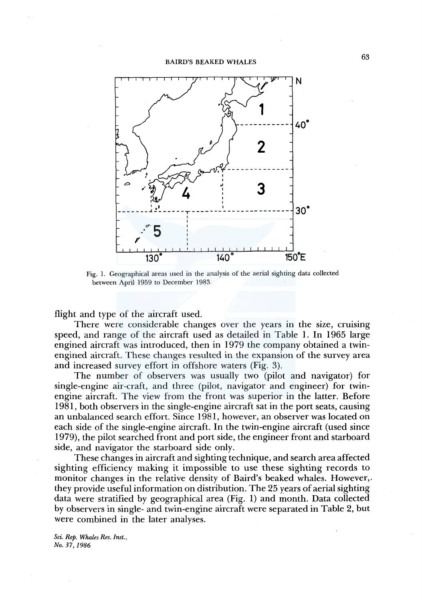

Fig. 1. Geographical areas used in the analysis of the aerial sighting data collected between April 1959 to December 1983.

flight and type of the aircraft used.

There were considerable changes over the years in the size, cruising speed, and range of the aircraft used as detailed in Table 1. In 1965 large engined aircraft was introduced, then in 1979 the company obtained a twinengined aircraft. These changes resulted in the expansion of the survey area and increased survey effort in offshore waters (Fig. 3).

The number of observers was usually two (pilot and navigator) for single-engine air-craft, and three (pilot, navigator and engineer) for twinengine aircraft. The view from the front was superior in the latter. Before 1981, both observers in the single-engine aircraft sat in the port seats, causing an unbalanced search effort. Since 1981, however, an observer was located on each side of the single-engine aircraft. In the twin-engine aircraft (used since 1979), the pilot searched front and port side, the engineer front and starboard side, and navigator the starboard side only.

These changes in aircraft and sighting technique, and search area affected sighting efficiency making it impossible to use these sighting records to monitor changes in the relative density of Baird's beaked whales. However,. they provide useful information on distribution. The 25 years of aerial sighting data were stratified by geographical area (Fig. 1) and month. Data collected by observers in single- and twin-engine aircraft were separated in Table 2, but were combined in the later analyses.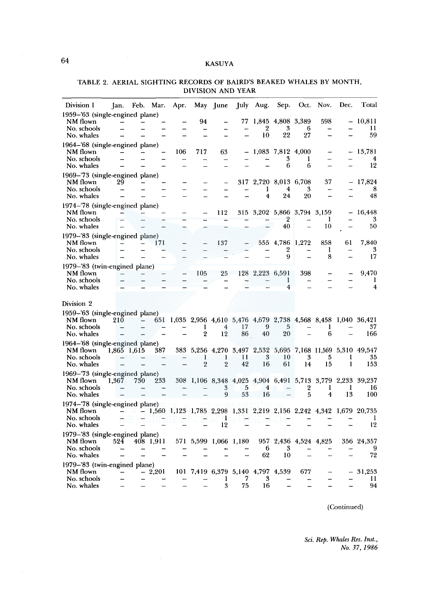| Division 1                                                               | Jan.        | Feb.                     | Mar.      | Apr. | May                 | June                  | July                                         | Aug.                         | Sep.                                                | Oct.              | Nov.          | Dec.    | Total                                                                            |
|--------------------------------------------------------------------------|-------------|--------------------------|-----------|------|---------------------|-----------------------|----------------------------------------------|------------------------------|-----------------------------------------------------|-------------------|---------------|---------|----------------------------------------------------------------------------------|
| 1959-'63 (single-engined plane)<br>NM flown<br>No. schools<br>No. whales |             |                          |           |      | 94                  |                       | 77                                           | $\overline{2}$<br>10         | 1,845 4,808 3,389<br>3<br>22                        | 6<br>27           | 598           |         | 10,811<br>П<br>59                                                                |
| 1964-'68 (single-engined plane)<br>NM flown<br>No. schools<br>No. whales |             |                          |           | 106  | 717                 | 63                    |                                              |                              | 1,083 7,812 4,000<br>3<br>6                         | ı<br>6            | $\equiv$      |         | 13,781<br>4<br>12                                                                |
| 1969–'73 (single-engined plane)<br>NM flown<br>No. schools<br>No. whales | 29          |                          |           |      |                     |                       | 317                                          | 1<br>$\overline{\mathbf{4}}$ | 2,720 8,013 6,708<br>4<br>24                        | 3<br>20           | 37            |         | 17,824<br>8<br>48                                                                |
| 1974-'78 (single-engined plane)<br>NM flown<br>No. schools<br>No. whales |             |                          |           |      |                     | 112                   |                                              |                              | 315 3,202 5,866 3,794 3,159<br>$\overline{2}$<br>40 |                   | 1<br>10       |         | 16,448<br>3<br>50                                                                |
| 1979-'83 (single-engined plane)<br>NM flown<br>No. schools<br>No. whales |             |                          | 171       |      |                     | 137                   |                                              |                              | 555 4,786<br>2<br>9                                 | 1,272             | 858<br>1<br>8 | 61      | 7,840<br>3<br>17                                                                 |
| 1979-'83 (twin-engined plane)<br>NM flown<br>No. schools<br>No. whales   |             |                          |           |      | 105                 | 25                    |                                              | 128 2,223 6,591              | 1<br>4                                              | 398               |               |         | 9,470<br>1<br>4                                                                  |
| Division 2<br>1959–'63 (single-engined plane)<br>NM flown<br>No. schools | 210         | $\overline{\phantom{m}}$ |           |      | 1                   | 4                     | 17                                           | 9                            | 5                                                   |                   | 1             |         | 651 1,035 2,956 4,610 5,476 4,679 2,738 4,568 8,458 1,040 36,421<br>37           |
| No. whales<br>1964-'68 (single-engined plane)<br>NM flown                | 1.865 1.615 |                          | 387       |      | $\boldsymbol{2}$    | 12                    | 86                                           | 40                           | 20                                                  |                   | 6             |         | 166<br>383 5,256 4,270 3,497 2,532 5,695 7,168 11,569 5,310 49,547               |
| No. schools<br>No. whales<br>1969-'73 (single-engined plane)             |             |                          |           |      | 1<br>$\overline{2}$ | ı<br>$\overline{2}$   | 11<br>42                                     | 3<br>16                      | 10<br>61                                            | 3<br>14           | 5<br>15       | 1<br>1  | 35<br>153                                                                        |
| NM flown<br>No. schools<br>No. whales                                    | 1.367       | 730                      | 233       |      |                     | 3<br>9                | 5<br>53                                      | 4<br>16                      | 308 1,106 8,348 4,025 4,904 6,491 5,713             | 2<br>5            | 1<br>4        | 1<br>13 | 3,779 2,233 39,237<br>16<br>100                                                  |
| 1974–'78 (single-engined plane)<br>NM flown<br>No. schools<br>No. whales |             |                          |           |      |                     | ı<br>12               |                                              |                              |                                                     |                   |               |         | $-1,560$ 1,123 1,785 2,298 1,331 2,219 2,156 2,242 4,342 1,679 20,735<br>1<br>12 |
| 1979-'83 (single-engined plane)<br>NM flown<br>No. schools<br>No. whales | 524         |                          | 408 1,911 |      |                     | 571 5,599 1,066 1,180 |                                              | 957<br>6<br>62               | 3<br>10                                             | 2,436 4,524 4,825 |               |         | 356 24,357<br>9<br>72                                                            |
| 1979-'83 (twin-engined plane)<br>NM flown<br>No. schools<br>No. whales   |             | −.                       | 2,201     |      |                     | 1<br>3                | 101 7,419 6,379 5,140 4,797 4,539<br>7<br>75 | 3<br>16                      |                                                     | 677               |               |         | 31.253<br>11<br>94                                                               |

## TABLE 2. AERIAL SIGHTING RECORDS OF BAIRD'S BEAKED WHALES BY MONTH, DIVISION AND YEAR

(Continued)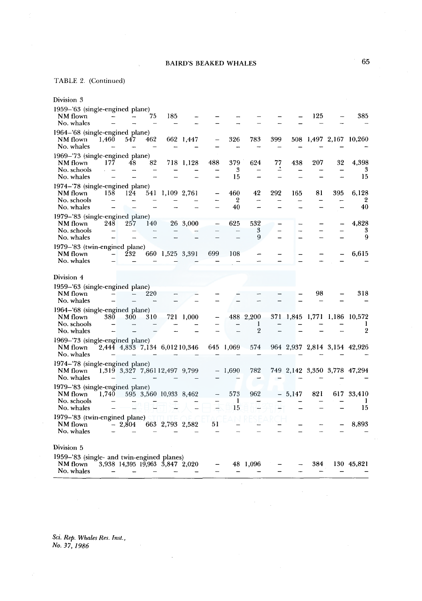## TABLE 2. (Continued)

| Division 3                                                                        |          |     |                                 |           |                   |                             |                                  |     |       |     |     |                                                     |
|-----------------------------------------------------------------------------------|----------|-----|---------------------------------|-----------|-------------------|-----------------------------|----------------------------------|-----|-------|-----|-----|-----------------------------------------------------|
| 1959–'63 (single-engined plane)<br>NM flown<br>No. whales                         |          | 75  | 185                             |           |                   |                             |                                  |     |       | 125 |     | 385                                                 |
| 1964–'68 (single-engined plane)<br>NM flown<br>1,460<br>No. whales                | 547      | 462 |                                 | 662 1,447 | $\qquad \qquad -$ | 326                         | 783                              | 399 |       |     |     | 508 1,497 2,167 10,260                              |
| 1969-'73 (single-engined plane)<br>NM flown<br>177<br>No. schools<br>No. whales   | 48       | 82  | 718                             | 1,128     | 488               | 379<br>3<br>15              | 624                              | 77  | 438   | 207 | 32  | 4,398<br>3<br>15                                    |
| 1974-'78 (single-engined plane)<br>NM flown<br>158<br>No. schools<br>No. whales   | 124      |     | 541 1,109 2,761                 |           |                   | 460<br>$\overline{2}$<br>40 | 42                               | 292 | 165   | 81  | 395 | 6.128<br>2<br>40                                    |
| 1979-'83 (single-engined plane)<br>NM flown<br>248<br>No. schools<br>No. whales   | 257      | 140 |                                 | 26 3,000  |                   | 625                         | 532<br>3<br>9                    |     |       |     |     | 4,828<br>3<br>9                                     |
| 1979-'83 (twin-engined plane)<br>NM flown<br>No. whales                           | 232      |     | 660 1,525 3,391                 |           | 699               | 108                         |                                  |     |       |     |     | 6,615                                               |
| Division 4                                                                        |          |     |                                 |           |                   |                             |                                  |     |       |     |     |                                                     |
| 1959-'63 (single-engined plane)<br>NM flown<br>No. whales                         |          | 220 |                                 |           |                   |                             |                                  |     |       | 98  |     | 318                                                 |
| 1964–'68 (single-engined plane)<br>NM flown<br>380<br>No. schools<br>No. whales   | 300      | 310 |                                 | 721 1.000 |                   |                             | 488 2,200<br>1<br>$\overline{2}$ |     |       |     |     | 371 1,845 1,771 1,186 10,572<br>1<br>$\overline{2}$ |
| 1969–'73 (single-engined plane)<br>NM flown<br>No. whales                         |          |     | 2,444 4,833 7,134 6,012 10,346  |           |                   | 645 1,069                   | 574                              |     |       |     |     | 964 2,937 2,814 3,154 42,926                        |
| 1974–'78 (single-engined plane)<br>NM flown<br>No. whales                         |          |     | 1,319 3,327 7,861 12,497 9,799  |           |                   | 1,690                       | 782                              |     |       |     |     | 749 2,142 3,350 3,778 47,294                        |
| 1979-'83 (single-engined plane)<br>NM flown<br>1.740<br>No. schools<br>No. whales |          |     | 595 3,560 10,933 8,462          |           |                   | 573<br>1<br>15              | 962                              | -   | 5,147 | 821 | 617 | 33.410<br>1<br>15                                   |
| 1979-'83 (twin-engined plane)<br>NM flown<br>No. whales                           | $-2,804$ |     | 663 2,793 2,582                 |           | 51                |                             |                                  |     |       |     |     | 8,893                                               |
| Division 5                                                                        |          |     |                                 |           |                   |                             |                                  |     |       |     |     |                                                     |
| 1959-'83 (single- and twin-engined planes)<br>NM flown<br>No. whales              |          |     | 3,938 14,395 19,963 3,847 2,020 |           |                   |                             | 48 1,096                         |     |       | 384 |     | 130 45,821                                          |

*Sci. Rep. Whales Res. Inst., No. 37, 1986* 

 $\bar{z}$ 

 $\sim$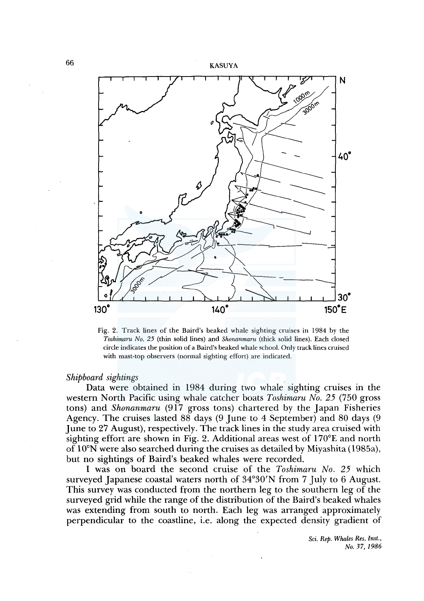

Fig. 2. Track lines of the Baird's beaked whale sighting cruises in 1984 by the *Toshimaru No. 25* (thin solid lines) and *Shonanmaru* (thick solid lines). Each closed circle indicates the position of a Baird's beaked whale school. Only track lines cruised with mast-top observers (normal sighting effort) are indicated.

#### *Shipboard sightings*

Data were obtained in 1984 during two whale sighting cruises in the western North Pacific using whale catcher boats *Toshimaru No. 25* (750 gross tons) and *Shonanmaru* (917 gross tons) chartered by the Japan Fisheries Agency. The cruises lasted 88 days (9 June to 4 September) and 80 days (9 June to 27 August), respectively. The track lines in the study area cruised with sighting effort are shown in Fig. 2. Additional areas west of  $170^{\circ}E$  and north of l0°N were also searched during the cruises as detailed by Miyashita (1985a), but no sightings of Baird's beaked whales were recorded.

I was on board the second cruise of the *Toshimaru No. 25* which surveyed Japanese coastal waters north of 34°30'N from 7 July to 6 August. This survey was conducted from the northern leg to the southern leg of the surveyed grid while the range of the distribution of the Baird's beaked whales was extending from south to north. Each leg was arranged approximately perpendicular to the coastline, i.e. along the expected density gradient of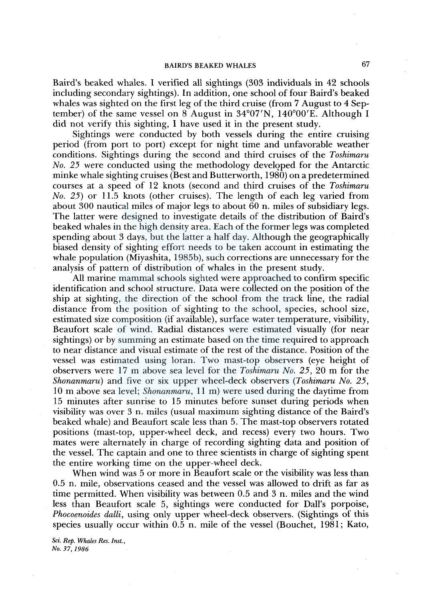Baird's beaked whales. I verified all sightings (303 individuals in 42 schools including secondary sightings). In addition, one school of four Baird's beaked whales was sighted on the first leg of the third cruise (from 7 August to 4 September) of the same vessel on 8 August in 34°07'N, 140°00'E. Although I did not verify this sighting, I have used it in the present study.

Sightings were conducted by both vessels during the entire cruising period (from port to port) except for night time and unfavorable weather conditions. Sightings during the second and third cruises of the *Toshimaru No. 25* were conducted using the methodology developed for the Antarctic minke whale sighting cruises (Best and Butterworth, 1980) on a predetermined courses at a speed of 12 knots (second and third cruises of the *Toshimaru No. 25)* or 11.5 knots (other cruises). The length of each leg varied from about 300 nautical miles of major legs to about 60 n. miles of subsidiary legs. The latter were designed to investigate details of the distribution of Baird's beaked whales in the high density area. Each of the former legs was completed spending about 3 days, but the latter a half day. Although the geographically biased density of sighting effort needs to be taken account in estimating the whale population (Miyashita, 1985b), such corrections are unnecessary for the analysis of pattern of distribution of whales in the present study.

All marine mammal schools sighted were approached to confirm specific identification and school structure. Data were collected on the position of the ship at sighting, the direction of the school from the track line, the radial distance from the position of sighting to the school, species, school size, estimated size composition (if available), surface water temperature, visibility, Beaufort scale of wind. Radial distances were estimated visually (for near sightings) or by summing an estimate based on the time required to approach to near distance and visual estimate of the rest of the distance. Position of the vessel was estimated using loran. Two mast-top observers (eye height of observers were 17 m above sea level for the *Toshimaru No. 25,* 20 m for the *Shonanmaru)* and five or six upper wheel-deck observers *(Toshimaru No. 25,*  10 m above sea level; *Shonanmaru,* 11 m) were used during the daytime from 15 minutes after sunrise to 15 minutes before sunset during periods when visibility was over 3 n. miles (usual maximum sighting distance of the Baird's beaked whale) and Beaufort scale less than 5. The mast-top observers rotated positions (mast-top, upper-wheel deck, and recess) every two hours. Two mates were alternately in charge of recording sighting data and position of the vessel. The captain and one to three scientists in charge of sighting spent the entire working time on the upper-wheel deck.

When wind was 5 or more in Beaufort scale or the visibility was less than 0.5 n. mile, observations ceased and the vessel was allowed to drift as far as time permitted. When visibility was between 0.5 and 3 n. miles and the wind less than Beaufort scale 5, sightings were conducted for Dall's porpoise, *Phocoenoides dalli,* using only upper wheel-deck observers. (Sightings of this species usually occur within 0.5 n. mile of the vessel (Bouchet, 1981; Kato,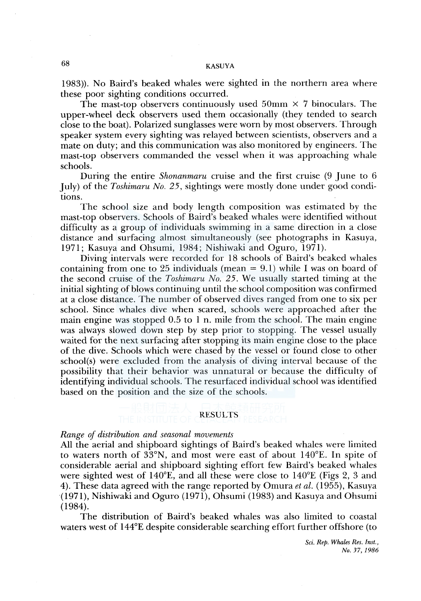1983)). No Baird's beaked whales were sighted in the northern area where these poor sighting conditions occurred.

The mast-top observers continuously used 50mm  $\times$  7 binoculars. The upper-wheel deck observers used them occasionally (they tended to search close to the boat). Polarized sunglasses were worn by most observers. Through speaker system every sighting was relayed between scientists, observers and a mate on duty; and this communication was also monitored by engineers. The mast-top observers commanded the vessel when it was approaching whale schools.

During the entire *Shonanmaru* cruise and the first cruise (9 June to 6 July) of the *Toshimaru No. 25,* sightings were mostly done under good conditions.

The school size and body length composition was estimated by the mast-top observers. Schools of Baird's beaked whales were identified without difficulty as a group of individuals swimming in a same direction in a close distance and surfacing almost simultaneously (see photographs in Kasuya, 1971; Kasuya and Ohsumi, 1984; Nishiwaki and Oguro, 1971).

Diving intervals were recorded for 18 schools of Baird's beaked whales containing from one to 25 individuals (mean  $= 9.1$ ) while I was on board of the second cruise of the *Toshimaru No. 25.* We usually started timing at the initial sighting of blows continuing until the school composition was confirmed at a close distance. The number of observed dives ranged from one to six per school. Since whales dive when scared, schools were approached after the main engine was stopped  $0.5$  to 1 n. mile from the school. The main engine was always slowed down step by step prior to stopping. The vessel usually waited for the next surfacing after stopping its main engine close to the place of the dive. Schools which were chased by the vessel or found close to other school(s) were excluded from the analysis of diving interval because of the possibility that their behavior was unnatural or because the difficulty of identifying individual schools. The resurfaced individual school was identified based on the position and the size of the schools.

#### RESULTS

### *Range of distribution and seasonal movements*

All the aerial and shipboard sightings of Baird's beaked whales were limited to waters north of 33°N, and most were east of about 140°£. In spite of considerable aerial and shipboard sighting effort few Baird's beaked whales were sighted west of 140°E, and all these were close to  $140^{\circ}E$  (Figs 2, 3 and 4). These data agreed with the range reported by Omura *et al.* (1955), Kasuya (1971), Nishiwaki and Oguro (1971), Ohsumi (1983) and Kasuya and Ohsumi (1984).

The distribution of Baird's beaked whales was also limited to coastal waters west of 144°£ despite considerable searching effort further offshore (to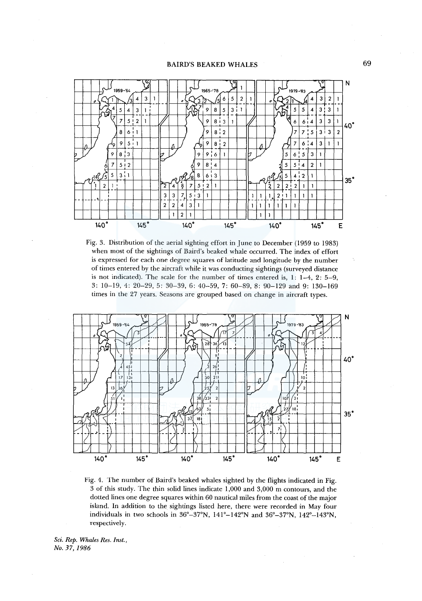

Fig. 3. Distribution of the aerial sighting effort in June to December (1959 to 1983) when most of the sightings of Baird's beaked whale occurred. The index of effort is expressed for each one degree squares of latitude and longitude by the number of times entered by the aircraft while it was conducting sightings (surveyed distance is not indicated). The scale for the number of times entered is, 1: 1-4, 2: 5-9, 3: 10-19, 4: 20-29, 5: 30-39, 6: 40-59, 7: 60-89, 8: 90-129 and 9: 130-169 times in the 27 years. Seasons are grouped based on change in aircraft types.



Fig. 4. The number of Baird's beaked whales sighted by the flights indicated in Fig. 3 of this study. The thin solid lines indicate 1,000 and 3,000 m contours, and the dotted lines one degree squares within 60 nautical miles from the coast of the major island. In addition to the sightings listed here, there were recorded in May four individuals in two schools in 36°-37°N, 141°-l42°N and 36°-37°N, 142°-l43°N, respectively.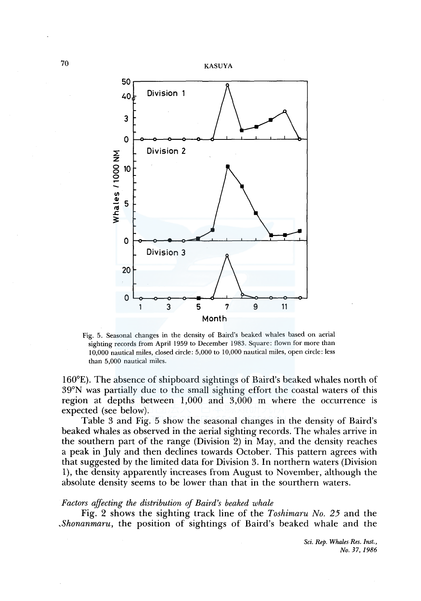

Fig. 5. Seasonal changes in the density of Baird's beaked whales based on aerial sighting records from April 1959 to December 1983. Square: flown for more than 10,000 nautical miles, closed circle: 5,000 to 10,000 nautical miles, open circle: less than 5,000 nautical miles.

160°E). The absence of shipboard sightings of Baird's beaked whales north of 39°N was partially due to the small sighting effort the coastal waters of this region at depths between 1,000 and 3,000 m where the occurrence is expected (see below).

Table 3 and Fig. 5 show the seasonal changes in the density of Baird's beaked whales as observed in the aerial sighting records. The whales arrive in the southern part of the range (Division 2) in May, and the density reaches a peak in July and then declines towards October. This pattern agrees with that suggested by the limited data for Division 3. In northern waters (Division 1), the density apparently increases from August to November, although the absolute density seems to be lower than that in the sourthern waters.

### *Factors affecting the distribution of Baird's beaked whale*

Fig. 2 shows the sighting track line of the *Toshimaru No. 25* and the *,Shonanmaru,* the position of sightings of Baird's beaked whale and the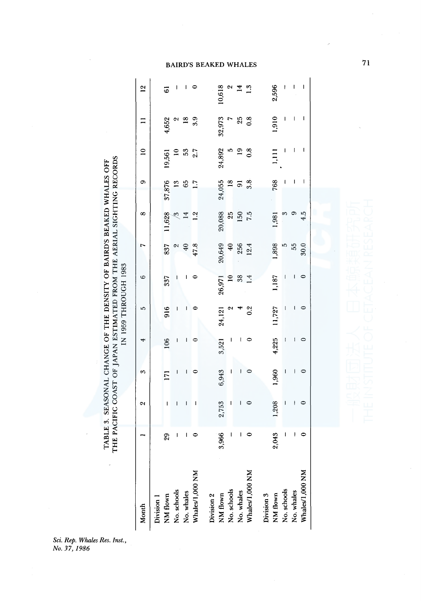THE PACIFIC COAST OF JAPAN ESTIMATED FROM THE AERIAL SIGHTING RECORDS THE PACIFIC COAST OF JAPAN ESTIMATED FROM THE AERIAL SIGHTING RECORDS TABLE 3. SEASONAL CHANGE OF THE DENSITY OF BAIRD'S BEAKED WHALES OFF TABLE 3. SEASONAL CHANGE OF THE DENSITY OF BAIRD'S BEAKED WHALES OFF IN 1959 THROUGH 1983

71

ci. Rep. Whales Res.<br><sup>1</sup>o. 37, 1986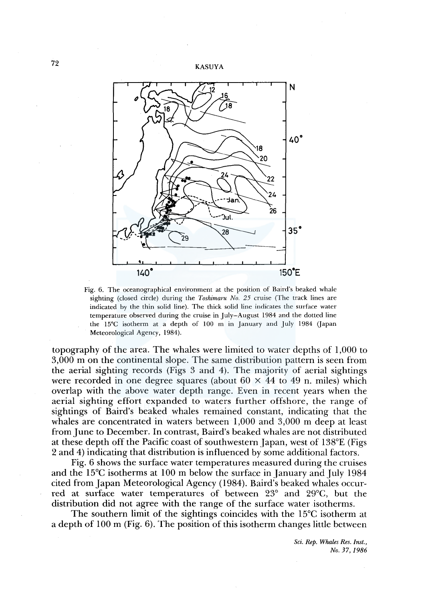

Fig. 6. The oceanographical environment at the position of Baird's beaked whale sighting (closed circle) during the *Toshimaru No. 25* cruise (The track lines are indicated by the thin solid line). The thick solid line indicates the surface water temperature observed during the cruise in July-August 1984 and the dotted line the  $15^{\circ}$ C isotherm at a depth of  $100$  m in January and July 1984 (Japan Meteorological Agency, 1984).

topography of the area. The whales were limited to water depths of 1,000 to 3,000 m on the continental slope. The same distribution pattern is seen from the aerial sighting records (Figs 3 and 4). The majority of aerial sightings were recorded in one degree squares (about  $60 \times 44$  to 49 n. miles) which overlap with the above water depth range. Even in recent years when the aerial sighting effort expanded to waters further offshore, the range of sightings of Baird's beaked whales remained constant, indicating that the whales are concentrated in waters between 1,000 and 3,000 m deep at least from June to December. In contrast, Baird's beaked whales are not distributed at these depth off the Pacific coast of southwestern Japan, west of 138°£ (Figs 2 and 4) indicating that distribution is influenced by some additional factors.

Fig. 6 shows the surface water temperatures measured during the cruises and the 15<sup>°</sup>C isotherms at 100 m below the surface in January and July 1984 cited from Japan Meteorological Agency (1984). Baird's beaked whales occurred at surface water temperatures of between 23° and 29°C, but the distribution did not agree with the range of the surface water isotherms.

The southern limit of the sightings coincides with the 15°C isotherm at a depth of 100 m (Fig. 6). The position of this isotherm changes little between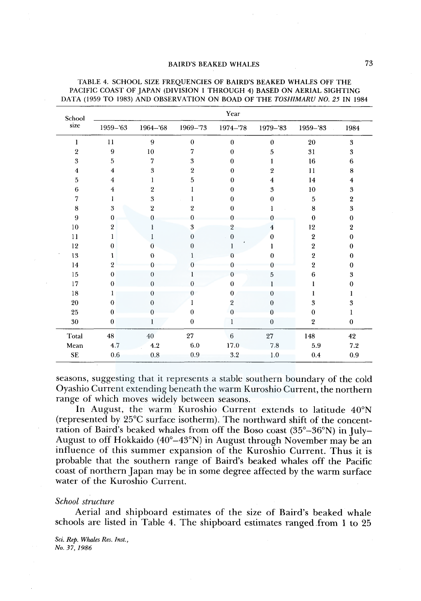| School           | Year           |                  |                  |                |              |                         |                  |  |  |  |  |
|------------------|----------------|------------------|------------------|----------------|--------------|-------------------------|------------------|--|--|--|--|
| size             | 1959-'63       | 1964-'68         | 1969-'73         | 1974-78        | 1979-'83     | $1959 - 83$             | 1984             |  |  |  |  |
| 1                | 11             | 9                | $\theta$         | $\bf{0}$       | $\mathbf{0}$ | 20                      | $\boldsymbol{3}$ |  |  |  |  |
| $\boldsymbol{2}$ | 9              | 10               | 7                | $\theta$       | 5            | 31                      | 3                |  |  |  |  |
| 3                | 5              | 7                | 3                | $\Omega$       |              | 16                      | 6                |  |  |  |  |
| 4                | $\overline{4}$ | $\boldsymbol{3}$ | $\boldsymbol{2}$ | $\Omega$       | 2            | 11                      | 8                |  |  |  |  |
| 5                | 4              |                  | 5                | $\Omega$       | 4            | 14                      | $\overline{4}$   |  |  |  |  |
| 6                | 4              | $\overline{2}$   |                  | $\theta$       | 3            | 10                      | 3                |  |  |  |  |
| 7                |                | 3                |                  | $\Omega$       | 0            | 5                       | $\overline{2}$   |  |  |  |  |
| $\bf 8$          | 3              | $\overline{2}$   | 2                | $\Omega$       |              | 8                       | $\boldsymbol{3}$ |  |  |  |  |
| 9                | $\theta$       | $\theta$         | Ω                | 0              | 0            | $\bf{0}$                | $\boldsymbol{0}$ |  |  |  |  |
| 10               | $\overline{2}$ |                  | 3                | $\overline{2}$ | 4            | 12                      | $\overline{2}$   |  |  |  |  |
| 11               | 1              |                  | $\theta$         | $\theta$       | $\Omega$     | $\overline{2}$          | $\theta$         |  |  |  |  |
| $12\,$           | $\theta$       | $\theta$         | $\overline{0}$   |                |              | $\sqrt{2}$              | $\bf{0}$         |  |  |  |  |
| 13               | 1              | $\theta$         |                  |                | 0            | $\overline{\mathbf{2}}$ | $\bf{0}$         |  |  |  |  |
| 14               | $\overline{2}$ | O                |                  | ∩              |              | 2                       | $\mathbf 0$      |  |  |  |  |
| $15\,$           | $\bf{0}$       | $\theta$         |                  | $\Omega$       | 5            | 6                       | 3                |  |  |  |  |
| 17               | $\Omega$       | $\theta$         | $\theta$         | $\Omega$       |              |                         | $\theta$         |  |  |  |  |
| 18               | 1              | $\Omega$         | 0                | $\Omega$       | 0            |                         | L                |  |  |  |  |
| 20               | $\Omega$       | $\theta$         |                  | $\overline{2}$ | 0            | 3                       | 3                |  |  |  |  |
| 25               | $\theta$       |                  | $\boldsymbol{0}$ | $\Omega$       | 0            | $\theta$                |                  |  |  |  |  |
| 30               | $\theta$       | 1                | $\mathbf{0}$     | 1              | $\theta$     | $\overline{2}$          | $\mathbf{0}$     |  |  |  |  |
| Total            | 48             | $40\,$           | 27               | 6              | $\sqrt{27}$  | 148                     | 42               |  |  |  |  |
| Mean             | 4.7            | 4.2              | $6.0\,$          | 17.0           | $7.8\,$      | $5.9\,$                 | $\bf 7.2$        |  |  |  |  |
| <b>SE</b>        | $0.6\,$        | $\rm 0.8$        | 0.9              | 3.2            | $1.0\,$      | 0.4                     | 0.9              |  |  |  |  |

#### TABLE 4. SCHOOL SIZE FREQUENCIES OF BAIRD'S BEAKED WHALES OFF THE PACIFIC COAST OF JAPAN (DIVISION l THROUGH 4) BASED ON AERIAL SIGHTING DATA (1959 TO 1983) AND OBSERVATION ON BOAD OF THE *TOSHIMARU NO. 25* IN 1984

seasons, suggesting that it represents a stable southern boundary of the cold Oyashio Current extending beneath the warm Kuroshio Current, the northern range of which moves widely between seasons.

In August, the warm Kuroshio Current extends to latitude 40°N (represented by 25°C surface isotherm). The northward shift of the concentration of Baird's beaked whales from off the Boso coast (35°-36°N) in July-August to off Hokkaido (40°-43°N) in August through November may be an influence of this summer expansion of the Kuroshio Current. Thus it is probable that the southern range of Baird's beaked whales off the Pacific coast of northern Japan may be in some degree affected by the warm surface water of the Kuroshio Current.

#### *School structure*

Aerial and shipboard estimates of the size of Baird's beaked whale schools are listed in Table 4. The shipboard estimates ranged\_from 1 to 25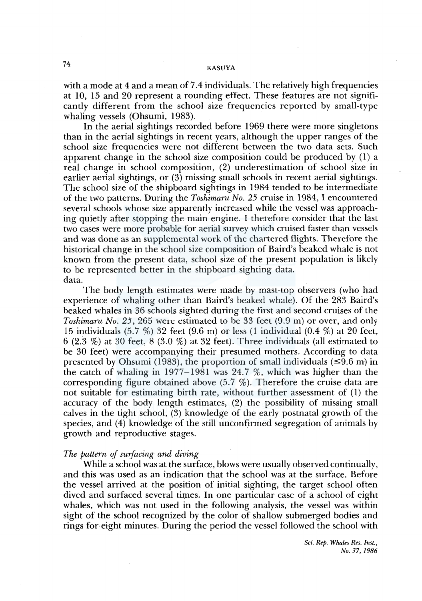with a mode at 4 and a mean of 7.4 individuals. The relatively high frequencies at 10, 15 and 20 represent a rounding effect. These features are not significantly different from the school size frequencies reported by small-type whaling vessels (Ohsumi, 1983).

In the aerial sightings recorded before 1969 there were more singletons than in the aerial sightings in recent years, although the upper ranges of the school size frequencies were not different between the two data sets. Such apparent change in the school size composition could be produced by (1) a real change in school composition, (2) underestimation of school size in earlier aerial sightings, or (3) missing small schools in recent aerial sightings. The school size of the shipboard sightings in 1984 tended to be intermediate of the two patterns. During the *Toshimaru No. 25* cruise in 1984, I encountered several schools whose size apparently increased while the vessel was approaching quietly after stopping the main engine. I therefore consider that the last two cases were more probable for aerial survey which cruised faster than vessels and was done as an supplemental work of the chartered flights. Therefore the historical change in the school size composition of Baird's beaked whale is not known from the present data, school size of the present population is likely to be represented better in the shipboard sighting data. data.

The body length estimates were made by mast-top observers (who had experience of whaling other than Baird's beaked whale). Of the 283 Baird's beaked whales in 36 schools sighted during the first and second cruises of the *Toshimaru No. 25,* 265 were estimated to be 33 feet (9.9 m) or over, and only 15 individuals (5.7 %) 32 feet (9.6 m) or less (1 individual (0.4 %) at 20 feet, 6 (2.3 %) at 30 feet, 8 (3.0 %) at 32 feet). Three individuals (all estimated to be 30 feet) were accompanying their presumed mothers. According to data presented by Ohsumi (1983), the proportion of small individuals  $(\leq 9.6 \text{ m})$  in the catch of whaling in 1977-1981 was 24.7 %, which was higher than the corresponding figure obtained above  $(5.7 \%)$ . Therefore the cruise data are not suitable for estimating birth rate, without further assessment of (1) the accuracy of the body length estimates, (2) the possibility of missing small calves in the tight school, (3) knowledge of the early postnatal growth of the species, and (4) knowledge of the still unconfirmed segregation of animals by growth and reproductive stages.

## *The pattern of surfacing and diving*

While a school was at the surface, blows were usually observed continually, and this was used as an indication that the school was at the surface. Before the vessel arrived at the position of initial sighting, the target school often dived and surfaced several times. In one particular case of a school of eight whales, which was not used in the following analysis, the vessel was within sight of the school recognized by the color of shallow submerged bodies and rings for· eight minutes. During the period the vessel followed the school with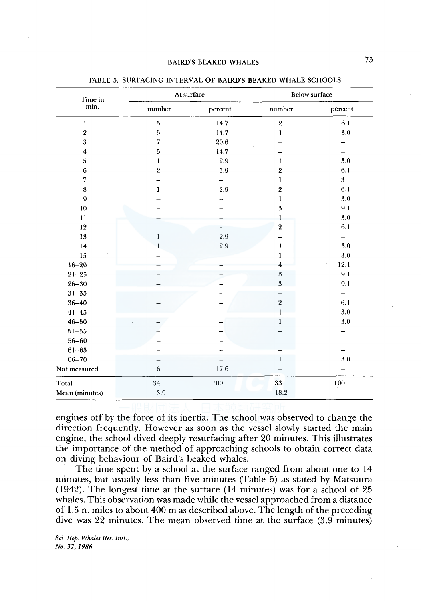| Time in                 | At surface              |          | <b>Below surface</b> |          |  |  |  |
|-------------------------|-------------------------|----------|----------------------|----------|--|--|--|
| min.                    | number                  | percent  | number               | percent  |  |  |  |
| $\bf{l}$                | $\bf 5$                 | 14.7     | $\,2\,$              | 6.1      |  |  |  |
| $\,2\,$                 | 5                       | 14.7     | $\mathbf{I}$         | 3.0      |  |  |  |
| $\overline{\mathbf{3}}$ | 7                       | $20.6\,$ |                      |          |  |  |  |
| $\overline{\mathbf{4}}$ | 5                       | 14.7     |                      |          |  |  |  |
| $\bf 5$                 | 1                       | 2.9      | 1                    | $3.0\,$  |  |  |  |
| $\boldsymbol{6}$        | $\overline{\mathbf{2}}$ | 5.9      | $\overline{2}$       | 6.1      |  |  |  |
| $\overline{7}$          |                         |          | 1                    | $\bf{3}$ |  |  |  |
| $\bf 8$                 | $\mathbf{1}$            | 2.9      | $\,2\,$              | 6.1      |  |  |  |
| $\boldsymbol{9}$        |                         |          | l                    | 3.0      |  |  |  |
| $10\,$                  |                         |          | $\boldsymbol{3}$     | 9.1      |  |  |  |
| 11                      |                         |          | 1                    | 3.0      |  |  |  |
| 12                      |                         |          | $\,2\,$              | 6.1      |  |  |  |
| 13                      | l                       | 2.9      |                      |          |  |  |  |
| 14                      |                         | 2.9      | 1                    | $3.0\,$  |  |  |  |
| $15\,$                  |                         |          | 1                    | $3.0\,$  |  |  |  |
| $16 - 20$               |                         |          | 4                    | 12.1     |  |  |  |
| $21 - 25$               |                         |          | $\sqrt{3}$           | 9.1      |  |  |  |
| $26 - 30$               |                         |          | 3                    | 9.1      |  |  |  |
| $31 - 35$               |                         |          |                      | -        |  |  |  |
| $36 - 40$               |                         |          | $\,2$                | 6.1      |  |  |  |
| $41 - 45$               |                         |          |                      | 3.0      |  |  |  |
| $46 - 50$               |                         |          | $\mathbf{1}$         | $3.0\,$  |  |  |  |
| $51 - 55$               |                         |          |                      |          |  |  |  |
| $56 - 60$               |                         |          |                      |          |  |  |  |
| $61 - 65$               |                         |          |                      |          |  |  |  |
| $66 - 70$               |                         |          | 1                    | 3.0      |  |  |  |
| Not measured            | $\,6\,$                 | 17.6     |                      |          |  |  |  |
| Total                   | $34\,$                  | 100      | $33\,$               | $100\,$  |  |  |  |
| Mean (minutes)          | $3.9\,$                 |          | 18.2                 |          |  |  |  |

TABLE 5. SURFACING INTERVAL OF BAIRD'S BEAKED WHALE SCHOOLS

engines off by the force of its inertia. The school was observed to change the direction frequently. However as soon as the vessel slowly started the main engine, the school dived deeply resurfacing after 20 minutes. This illustrates the importance of the method of approaching schools to obtain correct data on diving behaviour of Baird's beaked whales.

The time spent by a school at the surface ranged from about one to 14 minutes, but usually less than five minutes (Table 5) as stated by Matsuura (1942). The longest time at the surface (14 minutes) was for a school of 25 whales. This observation was made while the vessel approached from a distance of 1.5 n. miles to about 400 m as described above. The length of the preceding dive was 22 minutes. The mean observed time at the surface (3.9 minutes)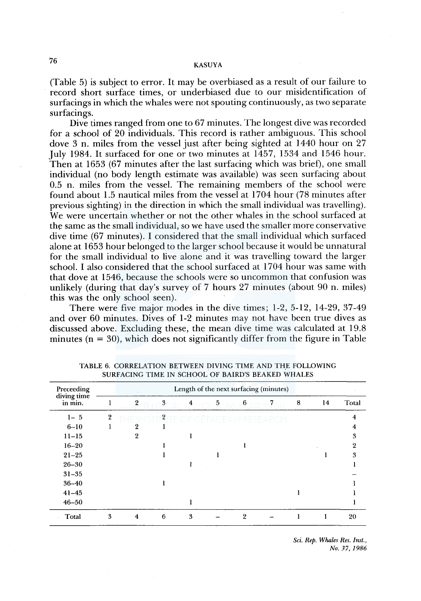(Table 5) is subject to error. It may be overbiased as a result of our failure to record short surface times, or underbiased due to our misidentification of surfacings in which the whales were not spouting continuously, as two separate surfacings.

Dive times ranged from one to 67 minutes. The longest dive was recorded for a school of 20 individuals. This record is rather ambiguous. This school dove 3 n. miles from the vessel just after being sighted at 1440 hour on 27 July 1984. It surfaced for one or two minutes at 1457, 1534 and 1546 hour. Then at 1653 (67 minutes after the last surfacing which was brief), one small individual (no body length estimate was available) was seen surfacing about 0.5 n. miles from the vessel. The remaining members of the school were found about 1.5 nautical miles from the vessel at 1704 hour (78 minutes after previous sighting) in the direction in which the small individual was travelling). We were uncertain whether or not the other whales in the school surfaced at the same as the small individual, so we have used the smaller more conservative dive time (67 minutes). I considered that the small individual which surfaced alone at 1653 hour belonged to the larger school because it would be unnatural for the small individual to live alone and it was travelling toward the larger school. I also considered that the school surfaced at 1704 hour was same with that dove at 1546, because the schools were so uncommon that confusion was unlikely (during that day's survey of 7 hours 27 minutes (about 90 n. miles) this was the only school seen).

There were five major modes in the dive times; 1-2, 5-12, 14-29, 37-49 and over 60 minutes. Dives of 1-2 minutes may not have been true dives as discussed above. Excluding these, the mean dive time was calculated at 19.8 minutes ( $n = 30$ ), which does not significantly differ from the figure in Table

| Preceeding<br>diving time<br>in min. |                | Length of the next surfacing (minutes)<br>$\mathcal{L}_{\mathcal{A}}$ |                |                |   |   |   |   |    |       |  |  |  |
|--------------------------------------|----------------|-----------------------------------------------------------------------|----------------|----------------|---|---|---|---|----|-------|--|--|--|
|                                      |                | $\overline{2}$                                                        | 3              | $\overline{4}$ | 5 | 6 | 7 | 8 | 14 | Total |  |  |  |
| $1 - 5$                              | $\overline{2}$ |                                                                       | $\overline{2}$ |                |   |   |   |   |    |       |  |  |  |
| $6 - 10$                             |                | ໑                                                                     |                |                |   |   |   |   |    |       |  |  |  |
| $11 - 15$                            |                |                                                                       |                |                |   |   |   |   |    |       |  |  |  |
| $16 - 20$                            |                |                                                                       |                |                |   |   |   |   |    |       |  |  |  |
| $21 - 25$                            |                |                                                                       |                |                |   |   |   |   |    | ٩     |  |  |  |
| $26 - 30$                            |                |                                                                       |                |                |   |   |   |   |    |       |  |  |  |
| $31 - 35$                            |                |                                                                       |                |                |   |   |   |   |    |       |  |  |  |
| $36 - 40$                            |                |                                                                       |                |                |   |   |   |   |    |       |  |  |  |
| $41 - 45$                            |                |                                                                       |                |                |   |   |   |   |    |       |  |  |  |
| $46 - 50$                            |                |                                                                       |                |                |   |   |   |   |    |       |  |  |  |
| Total                                | 3              | 4                                                                     | 6              | 3              |   | 2 |   |   |    | 20    |  |  |  |

TABLE 6. CORRELATION BETWEEN DIVING TIME AND THE FOLLOWING SURFACING TIME IN SCHOOL OF BAIRD'S BEAKED WHALES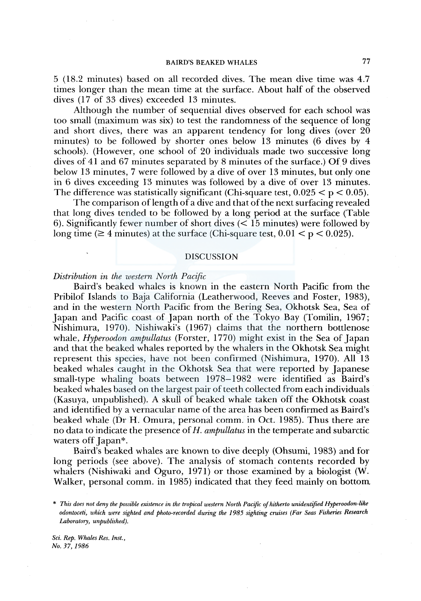*5* (18.2 minutes) based on all recorded dives. The mean dive time was 4.7 times longer than the mean time at the surface. About half of the observed dives (17 of 33 dives) exceeded 13 minutes.

Although the number of sequential dives observed for each school was too small (maximum was six) to test the randomness of the sequence of long and short dives, there was an apparent tendency for long dives (over  $20$ ) minutes) to be followed by shorter ones below 13 minutes (6 dives by 4 schools). (However, one school of 20 individuals made two successive long dives of 41 and 67 minutes separated by 8 minutes of the surface.) Of 9 dives below 13 minutes, 7 were followed by a dive of over 13 minutes, but only one in 6 dives exceeding 13 minutes was followed by a dive of over 13 minutes. The difference was statistically significant (Chi-square test,  $0.025 < p < 0.05$ ).

The comparison of length of a dive and that of the next surfacing revealed that long dives tended to be followed by a long period at the surface (Table 6). Significantly fewer number of short dives ( $\lt 15$  minutes) were followed by long time ( $\geq$  4 minutes) at the surface (Chi-square test,  $0.01 < p < 0.025$ ).

### DISCUSSION

## *Distribution in the western North Pacific*

Baird's beaked whales is known in the eastern North Pacific from the Pribilof Islands to Baja California (Leatherwood, Reeves and Foster, 1983), and in the western North Pacific from the Bering Sea, Okhotsk Sea, Sea of Japan and Pacific coast of Japan north of the Tokyo Bay (Tomilin, 1967; Nishimura, 1970). Nishiwaki's (1967) claims that the northern bottlenose whale, *Hyperoodon ampullatus* (Forster, 1770) might exist in the Sea of Japan and that the beaked whales reported by the whalers in the Okhotsk Sea might represent this species, have not been confirmed (Nishimura, 1970). All 13 beaked whales caught in the Okhotsk Sea that were reported by Japanese small-type whaling boats between 1978-1982 were identified as Baird's beaked whales based on the largest pair of teeth collected from each individuals (Kasuya, unpublished). A skull of beaked whale taken off the Okhotsk coast and identified by a vernacular name of the area has been confirmed as Baird's beaked whale (Dr H. Omura, personal comm. in Oct. 1985). Thus there are no data to indicate the presence of *H. ampullatus* in the temperate and subarctic waters off Japan\*.

Baird's beaked whales are known to dive deeply (Ohsumi, 1983) and for long periods (see above). The analysis of stomach contents recorded by whalers (Nishiwaki and Oguro, 1971) or those examined by a biologist (W. Walker, personal comm. in 1985) indicated that they feed mainly on bottom

<sup>\*</sup> *This does not deny the possible existence in the tropical western North Pacific of hitherto unidentified Hyperoodon-like odontoceti, which were sighted and photo-recorded during the 1985 sighting cruises (Far Seas Fisheries Research Laboratory, unpublished).*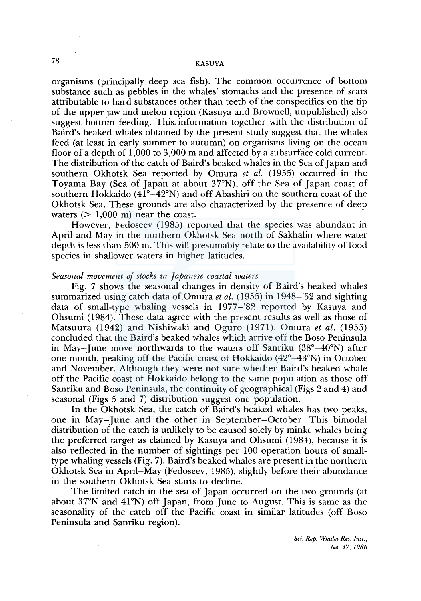organisms (principally deep sea fish). The common occurrence of bottom substance such as pebbles in the whales' stomachs and the presence of scars attributable to hard substances other than teeth of the conspecifics on the tip of the upper jaw and melon region (Kasuya and Brownell, unpublished) also suggest bottom feeding. This. information together with the distribution of Baird's beaked whales obtained by the present study suggest that the whales feed (at least in early summer to autumn) on organisms living on the ocean floor of a depth of 1,000 to 3,000 m and affected by a subsurface cold current. The distribution of the catch of Baird's beaked whales in the Sea of Japan and southern Okhotsk Sea reported by Omura *et al.* (1955) occurred in the Toyama Bay (Sea of Japan at about 37°N), off the Sea of Japan coast of southern Hokkaido  $(41^{\circ}-42^{\circ}N)$  and off Abashiri on the southern coast of the Okhotsk Sea. These grounds are also characterized by the presence of deep waters  $(> 1,000 \text{ m})$  near the coast.

However, Fedoseev (1985) reported that the species was abundant in April and May in the northern Okhotsk Sea north of Sakhalin where water depth is less than 500 m. This will presumably relate to the availability of food species in shallower waters in higher latitudes.

### *Seasonal movement of stocks in Japanese coastal waters*

Fig. 7 shows the seasonal changes in density of Baird's beaked whales summarized using catch data of Omura *et al.* (1955) in 1948-'52 and sighting data of small-type whaling vessels in 1977-'82 reported by Kasuya and Ohsumi (1984). These data agree with the present results as well as those of Matsuura (1942) and Nishiwaki and Oguro (1971). Omura *et al.* (1955) concluded that the Baird's beaked whales which arrive off the Boso Peninsula in May-June move northwards to the waters off Sanriku (38°-40°N) after one month, peaking off the Pacific coast of Hokkaido  $(42^{\circ}-43^{\circ}N)$  in October and November. Although they were not sure whether Baird's beaked whale off the Pacific coast of Hokkaido belong to the same population as those off Sanriku and Boso Peninsula, the continuity of geographical (Figs 2 and 4) and seasonal (Figs 5 and 7) distribution suggest one population.

In the Okhotsk Sea, the catch of Baird's beaked whales has two peaks, one in May-June and the other in September-October. This bimodal distribution of the catch is unlikely to be caused solely by minke whales being the preferred target as claimed by Kasuya and Ohsumi (1984), because it is also reflected in the number of sightings per 100 operation hours of smalltype whaling vessels (Fig. 7). Baird's beaked whales are present in the northern Okhotsk Sea in April-May (Fedoseev, 1985), slightly before their abundance in the southern Okhotsk Sea starts to decline.

The limited catch in the sea of Japan occurred on the two grounds (at about 37°N and 41°N) off Japan, from June to August. This is same as the seasonality of the catch off the Pacific coast in similar latitudes (off Boso Peninsula and Sanriku region).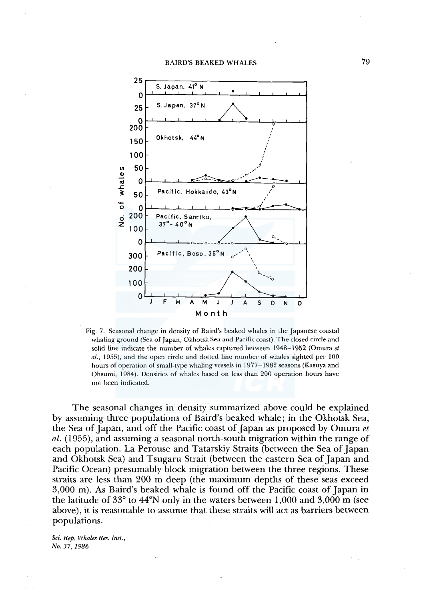

Fig. 7. Seasonal change in density of Baird's beaked whales in the Japanese coastal whaling ground (Sea of Japan, Okhotsk Sea and Pacific coast). The closed circle and solid line indicate the number of whales captured between 1948-1952 (Omura *et al.,* 1955), and the open circle and dotted line number of whales sighted per 100 hours of operation of small-type whaling vessels in 1977-1982 seasons (Kasuya and Ohsumi, 1984). Densities of whales based on less than 200 operation hours have not been indicated.

The seasonal changes in density summarized above could be explained by assuming three populations of Baird's beaked whale; in the Okhotsk Sea, the Sea of Japan, and off the Pacific coast of Japan as proposed by Omura *et al.* (1955), and assuming a seasonal north-south migration within the range of each population. La Perouse and Tatarskiy Straits (between the Sea of Japan and Okhotsk Sea) and Tsugaru Strait (between the eastern Sea of Japan and Pacific Ocean) presumably block migration between the three regions. These straits are less than 200 m deep (the maximum depths of these seas exceed 3,000 m). As Baird's beaked whale is found off the Pacific coast of Japan in the latitude of 33° to 44°N only in the waters between 1,000 and 3,000 m (see above), it is reasonable to assume that these straits will act as barriers between populations.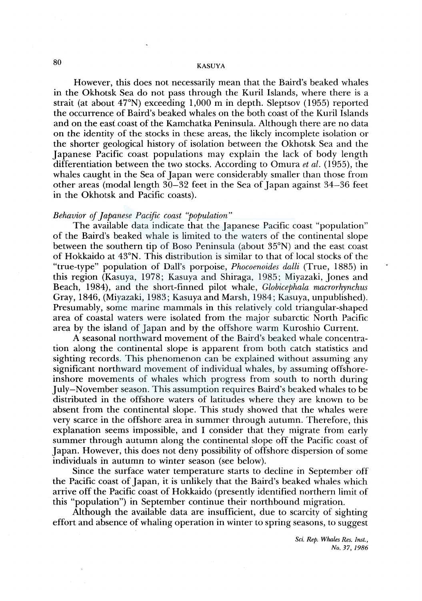However, this does not necessarily mean that the Baird's beaked whales in the Okhotsk Sea do not pass through the Kuril Islands, where there is a strait (at about  $47^{\circ}$ N) exceeding 1,000 m in depth. Sleptsov (1955) reported the occurrence of Baird's beaked whales on the both coast of the Kuril Islands and on the east coast of the Kamchatka Peninsula. Although there are no data on the identity of the stocks in these areas, the likely incomplete isolation or the shorter geological history of isolation between the Okhotsk Sea and the Japanese Pacific coast populations may explain the lack of body length differentiation between the two stocks. According to Omura *et al.* (1955), the whales caught in the Sea of Japan were considerably smaller than those from other areas (modal length 30-32 feet in the Sea of Japan against 34-36 feet in the Okhotsk and Pacific coasts).

## *Behavior of Japanese Pacific coast ''population"*

The available data indicate that the Japanese Pacific coast "population" of the Baird's beaked whale is limited to the waters of the continental slope between the southern tip of Boso Peninsula (about 35°N) and the east coast of Hokkaido at 43°N. This distribution is similar to that of local stocks of the "true-type" population of Dall's porpoise, *Phocoenoides dalli* (True, 1885) in this region (Kasuya, 1978; Kasuya and Shiraga, 1985; Miyazaki, Jones and Beach, 1984), and the short-finned pilot whale, *Globicephala macrorhynchus*  Gray, 1846, (Miyazaki, 1983; Kasuya and Marsh, 1984; Kasuya, unpublished). Presumably, some marine mammals in this relatively cold triangular-shaped area of coastal waters were isolated from the major subarctic North Pacific area by the island of Japan and by the offshore warm Kuroshio Current.

A seasonal northward movement of the Baird's beaked whale concentration along the continental slope is apparent from both catch statistics and sighting records. This phenomenon can be explained without assuming any significant northward movement of individual whales, by assuming offshoreinshore movements of whales which progress from south to north during July-November season. This assumption requires Baird's beaked whales to be distributed in the offshore waters of latitudes where they are known to be absent from the continental slope. This study showed that the whales were very scarce in the offshore area in summer through autumn. Therefore, this explanation seems impossible, and I consider that they migrate from early summer through autumn along the continental slope off the Pacific coast of Japan. However, this does not deny possibility of offshore dispersion of some individuals in autumn to winter season (see below).

Since the surface water temperature starts to decline in September off the Pacific coast of Japan, it is unlikely that the Baird's beaked whales which arrive off the Pacific coast of Hokkaido (presently identified northern limit of this "population") in September continue their northbound migration.

Although the available data are insufficient, due to scarcity of sighting effort and absence of whaling operation in winter to spring seasons, to suggest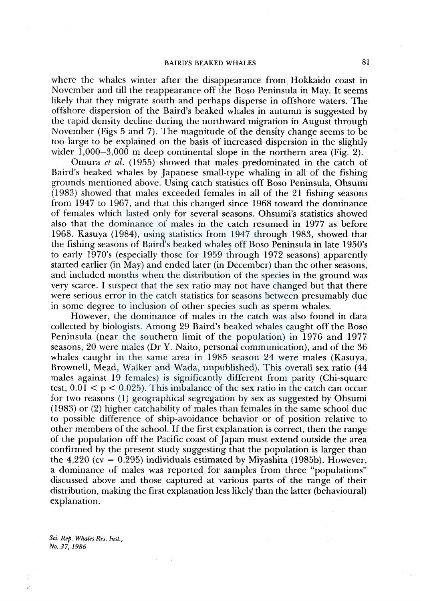where the whales winter after the disappearance from Hokkaido coast in November and till the reappearance off the Boso Peninsula in May. It seems likely that they migrate south and perhaps disperse in offshore waters. The offshore dispersion of the Baird's beaked whales in autumn is suggested by the rapid density decline during the northward migration in August through November (Figs 5 and 7). The magnitude of the density change seems to be too large to be explained on the basis of increased dispersion in the slightly wider  $1,000-3,000$  m deep continental slope in the northern area (Fig. 2).

Omura *et al.* (1955) showed that males predominated in the catch of Baird's beaked whales by Japanese small-type whaling in all of the fishing grounds mentioned above. Using catch statistics off Boso Peninsula, Ohsumi ( 1983) showed that males exceeded females in all of the 21 fishing seasons from 1947 to 1967, and that this changed since 1968 toward the dominance of females which lasted only for several seasons. Ohsumi's statistics showed also that the dominance of males in the catch resumed in 1977 as before 1968. Kasuya (1984), using statistics from 1947 through 1983, showed that the fishing seasons of Baird's beaked whales off Boso Peninsula in late 1950's to early l 970's (especially those for 1959 through 1972 seasons) apparently started earlier (in May) and ended later (in December) than the other seasons, and included months when the distribution of the species in the ground was very scarce. I suspect that the sex ratio may not have changed but that there were serious error in the catch statistics for seasons between presumably due in some degree to inclusion of other species such as sperm whales.

However, the dominance of males in the catch was also found in data collected by biologists. Among 29 Baird's beaked whales caught off the Boso Peninsula (near the southern limit of the population) in 1976 and 1977 seasons, 20 were males (Dr Y. Naito, personal communication), and of the 36 whales caught in the same area in 1985 season 24 were males (Kasuya, Brownell, Mead, Walker and Wada, unpublished). This overall sex ratio (44 males against 19 females) is significantly different from parity (Chi-square test,  $0.01 < p < 0.025$ ). This imbalance of the sex ratio in the catch can occur for two reasons (1) geographical segregation by sex as suggested by Ohsumi ( 1983) or (2) higher catchability of males than females in the same school due to possible difference of ship-avoidance behavior or of position relative to other members of the school. If the first explanation is correct, then the range of the population off the Pacific coast of Japan must extend outside the area confirmed by the present study suggesting that the population is larger than the  $4,220$  (cv = 0.295) individuals estimated by Miyashita (1985b). However, a dominance of males was reported for samples from three "populations" discussed above and those captured at various parts of the range of their distribution, making the first explanation less likely than the latter (behavioural) explanation.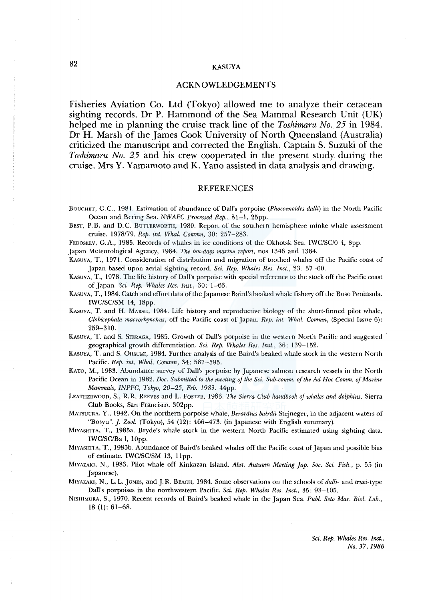## ACKNOWLEDGEMENTS

Fisheries Aviation Co. Ltd (Tokyo) allowed me to analyze their cetacean sighting records. Dr P. Hammond of the Sea Mammal Research Unit (UK) helped me in planning the cruise track line of the *Toshimaru No. 25* in 1984. Dr H. Marsh of the James Cook University of North Queensland (Australia) criticized the manuscript and corrected the English. Captain S. Suzuki of the *Toshimaru No. 25* and his crew cooperated in the present study during the cruise. Mrs Y. Yamamoto and K. Yano assisted in data analysis and drawing.

#### REFERENCES

- BOUCHET, G.C., 1981. Estimation of abundance of Dall's porpoise (Phocoenoides dalli) in the North Pacific Ocean and Bering Sea. *NWAFC Processed Rep.,* 81-1, 25pp.
- BEST, P.B. and D.C. BUTTERWORTH, 1980. Report of the southern hemisphere minke whale assessment cruise. 1978179. *Rep. int. Whal. Commn,* 30: 257-283.

FEDOSEEV, G.A., 1985. Records of whales in ice conditions of the Okhotsk Sea. IWC/SC/O 4, 8pp.

Japan Meteorological Agency, 1984. *The ten-days marine report,* nos 1346 and 1364.

KASUYA, T., 1971. Consideration of distribution and migration of toothed whales off the Pacific coast of Japan based upon aerial sighting record. *Sci. Rep. Whales Res. Inst.,* 23: 37-60.

KASUYA, T., 1978. The life history of Dall's porpoise with special reference to the stock off the Pacific coast of Japan. *Sci. Rep. Whales Res. Inst.,* 30: 1-63.

- KASUYA, T., 1984. Catch and effort data of the Japanese Baird's beaked whale fishery off the Boso Peninsula. IWC/SC/SM 14, 18pp.
- KASUYA, T. and H. MARSH, 1984. Life history and reproductive biology of the short-finned pilot whale, *Globicephala macrorhynchus,* off the Pacific coast of Japan. *Rep. int. Whal. Commn,* (Special Issue 6): 259-310.
- KASUYA, T. and S. SHIRAGA, 1985. Growth of Dall's porpoise in the western North Pacific and suggested geographical growth differentiation. *Sci. Rep. Whales Res. Inst.,* 36: 139-152.
- KAsUYA, T. and S. 0HSUMI, 1984. Further analysis of the Baird's beaked whale stock in the western North Pacific. *Rep. int. Whal. Commn,* 34: 587-595.
- KATO, M., 1983. Abundance survey of Dall's porpoise by Japanese salmon research vessels in the North Pacific Ocean in 1982. *Doc. Submitted to the meeting of the Sci. Sub-comm. of the Ad Hoe Comm. of Marine Mammals, INPFC, Tokyo, 20-25, Feb. 1983.* 44pp.
- LEATHERWOOD, S., R.R. REEVES and L. FosTER, 1983. *The Sierra Club handbook of whales and dolphins.* Sierra Club Books, San Francisco. 302pp.

MATSUURA, Y., 1942. On the northern porpoise whale, *Berardius bairdii* Stejneger, in the adjacent waters of "Bosyu". *]. Zool.* (Tokyo), 54 (12): 466-473. (in Japanese with English summary).

MIYASHITA, T., 1985a. Bryde's whale stock in the western North Pacific estimated using sighting data. IWC/SC/Ba 1, lOpp.

MIYASHITA, T., 1985b. Abundance of Baird's beaked whales off the Pacific coast of Japan and possible bias of estimate. IWC/SC/SM 13, 11pp.

- MIYAZAKI, N., 1983. Pilot whale off Kinkazan Island. *Abst. Autumn Meeting jap. Soc. Sci. Fish.,* p. 55 (in Japanese).
- MIYAZAKI, N., L. L. JONES, and J. R. BEACH, 1984. Some observations on the schools of *dalli-* and *truei-type*  Dall's porpoises in the northwestern Pacific. *Sci. Rep. Whales Res. Inst.,* 35: 93-105.
- NISHIMURA, S., 1970. Recent records of Baird's beaked whale in the Japan Sea. *Puhl. Seto Mar. Biol. Lab.,*  18 (1): 61-68.